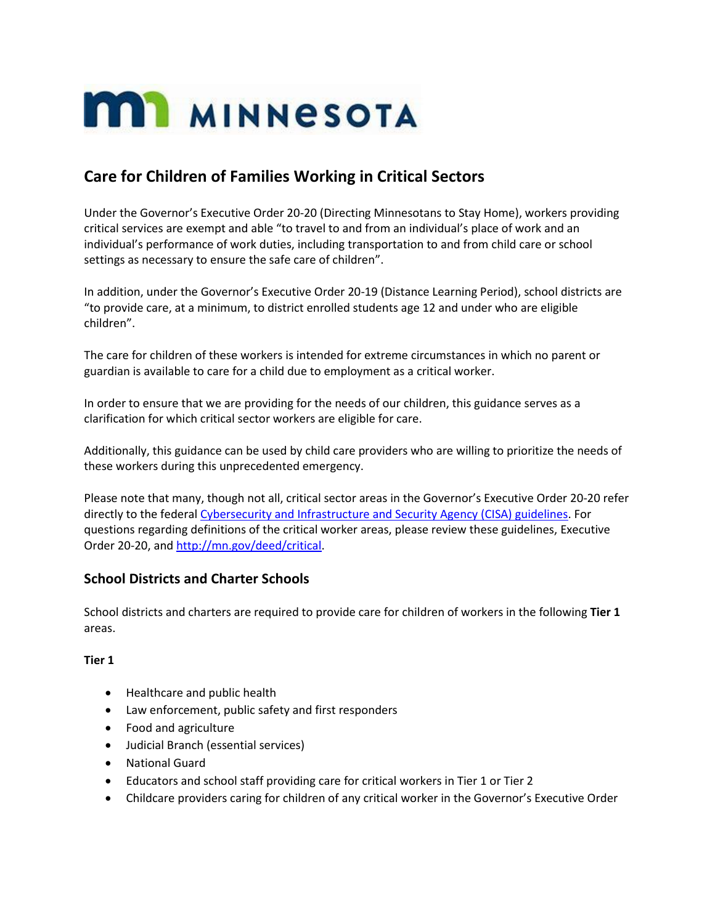

# **Care for Children of Families Working in Critical Sectors**

Under the Governor's Executive Order 20-20 (Directing Minnesotans to Stay Home), workers providing critical services are exempt and able "to travel to and from an individual's place of work and an individual's performance of work duties, including transportation to and from child care or school settings as necessary to ensure the safe care of children".

In addition, under the Governor's Executive Order 20-19 (Distance Learning Period), school districts are "to provide care, at a minimum, to district enrolled students age 12 and under who are eligible children".

The care for children of these workers is intended for extreme circumstances in which no parent or guardian is available to care for a child due to employment as a critical worker.

In order to ensure that we are providing for the needs of our children, this guidance serves as a clarification for which critical sector workers are eligible for care.

Additionally, this guidance can be used by child care providers who are willing to prioritize the needs of these workers during this unprecedented emergency.

Please note that many, though not all, critical sector areas in the Governor's Executive Order 20-20 refer directly to the federa[l Cybersecurity and Infrastructure and Security Agency \(CISA\) guidelines.](https://www.cisa.gov/sites/default/files/publications/CISA_Guidance_on_the_Essential_Critical_Infrastructure_Workforce_508C_0.pdf) For questions regarding definitions of the critical worker areas, please review these guidelines, Executive Order 20-20, and [http://mn.gov/deed/critical.](http://mn.gov/deed/critical)

### **School Districts and Charter Schools**

School districts and charters are required to provide care for children of workers in the following **Tier 1** areas.

#### **Tier 1**

- Healthcare and public health
- Law enforcement, public safety and first responders
- Food and agriculture
- Judicial Branch (essential services)
- National Guard
- Educators and school staff providing care for critical workers in Tier 1 or Tier 2
- Childcare providers caring for children of any critical worker in the Governor's Executive Order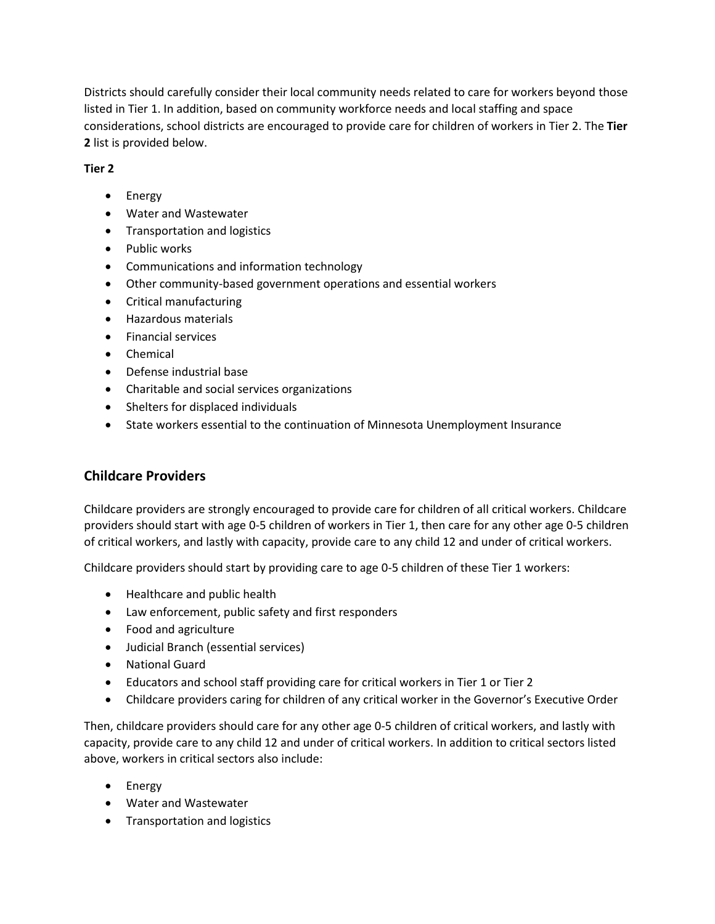Districts should carefully consider their local community needs related to care for workers beyond those listed in Tier 1. In addition, based on community workforce needs and local staffing and space considerations, school districts are encouraged to provide care for children of workers in Tier 2. The **Tier 2** list is provided below.

## **Tier 2**

- Energy
- Water and Wastewater
- Transportation and logistics
- Public works
- Communications and information technology
- Other community-based government operations and essential workers
- Critical manufacturing
- Hazardous materials
- **•** Financial services
- Chemical
- Defense industrial base
- Charitable and social services organizations
- Shelters for displaced individuals
- State workers essential to the continuation of Minnesota Unemployment Insurance

# **Childcare Providers**

Childcare providers are strongly encouraged to provide care for children of all critical workers. Childcare providers should start with age 0-5 children of workers in Tier 1, then care for any other age 0-5 children of critical workers, and lastly with capacity, provide care to any child 12 and under of critical workers.

Childcare providers should start by providing care to age 0-5 children of these Tier 1 workers:

- Healthcare and public health
- Law enforcement, public safety and first responders
- Food and agriculture
- Judicial Branch (essential services)
- National Guard
- Educators and school staff providing care for critical workers in Tier 1 or Tier 2
- Childcare providers caring for children of any critical worker in the Governor's Executive Order

Then, childcare providers should care for any other age 0-5 children of critical workers, and lastly with capacity, provide care to any child 12 and under of critical workers. In addition to critical sectors listed above, workers in critical sectors also include:

- Energy
- Water and Wastewater
- **•** Transportation and logistics